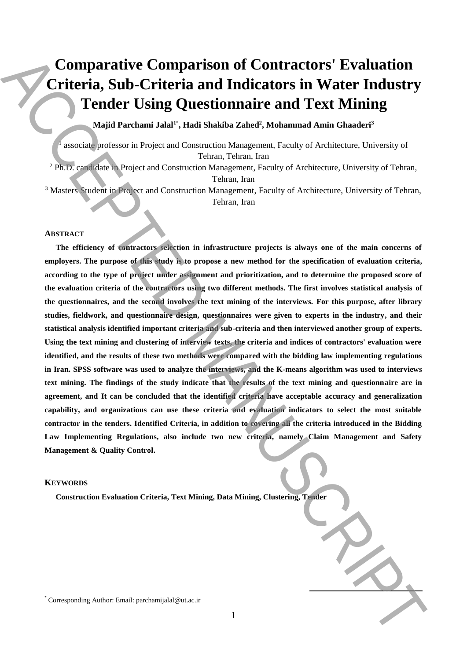# **Comparative Comparison of Contractors' Evaluation Criteria, Sub-Criteria and Indicators in Water Industry Tender Using Questionnaire and Text Mining**

**Majid Parchami Jalal<sup>1</sup>**\* **, Hadi Shakiba Zahed 2 , Mohammad Amin Ghaaderi<sup>3</sup>**

1 associate professor in Project and Construction Management, Faculty of Architecture, University of Tehran, Tehran, Iran

<sup>2</sup> Ph.D. candidate in Project and Construction Management, Faculty of Architecture, University of Tehran, Tehran, Iran

<sup>3</sup> Masters Student in Project and Construction Management, Faculty of Architecture, University of Tehran, Tehran, Iran

#### **ABSTRACT**

**The efficiency of contractors selection in infrastructure projects is always one of the main concerns of employers. The purpose of this study is to propose a new method for the specification of evaluation criteria, according to the type of project under assignment and prioritization, and to determine the proposed score of the evaluation criteria of the contractors using two different methods. The first involves statistical analysis of the questionnaires, and the second involves the text mining of the interviews. For this purpose, after library studies, fieldwork, and questionnaire design, questionnaires were given to experts in the industry, and their statistical analysis identified important criteria and sub-criteria and then interviewed another group of experts. Using the text mining and clustering of interview texts, the criteria and indices of contractors' evaluation were identified, and the results of these two methods were compared with the bidding law implementing regulations in Iran. SPSS software was used to analyze the interviews, and the K-means algorithm was used to interviews text mining. The findings of the study indicate that the results of the text mining and questionnaire are in agreement, and It can be concluded that the identified criteria have acceptable accuracy and generalization capability, and organizations can use these criteria and evaluation indicators to select the most suitable contractor in the tenders. Identified Criteria, in addition to covering all the criteria introduced in the Bidding Law Implementing Regulations, also include two new criteria, namely Claim Management and Safety Management & Quality Control. Comparative Comparison of Contractors' Evaluation**<br> **Criticria Auth Criticria and Indicators in Water Industry<br>
Tender Using Questionnaire and Text Mining Contract and The Case of Mining Contract and Text Mining Contract** 

# **KEYWORDS**

**Construction Evaluation Criteria, Text Mining, Data Mining, Clustering, Tender**

**.**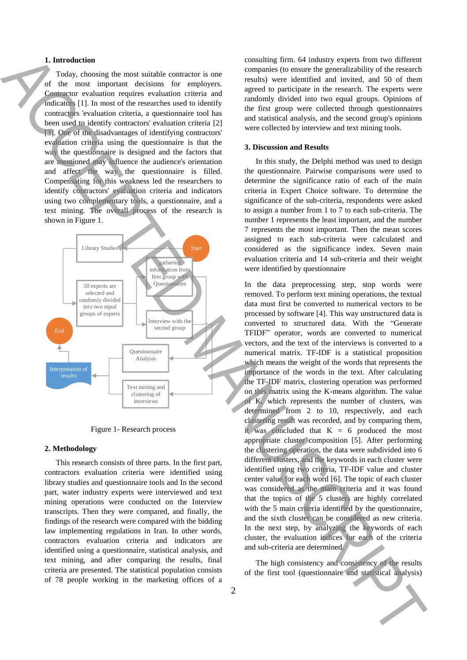## **1. Introduction**

Today, choosing the most suitable contractor is one of the most important decisions for employers. Contractor evaluation requires evaluation criteria and indicators [1]. In most of the researches used to identify contractors 'evaluation criteria, a questionnaire tool has been used to identify contractors' evaluation criteria [2] [3]. One of the disadvantages of identifying contractors' evaluation criteria using the questionnaire is that the way the questionnaire is designed and the factors that are mentioned may influence the audience's orientation and affect the way the questionnaire is filled. Compensating for this weakness led the researchers to identify contractors' evaluation criteria and indicators using two complementary tools, a questionnaire, and a text mining. The overall process of the research is shown in Figure 1.



Figure 1- Research process

#### **2. Methodology**

This research consists of three parts. In the first part, contractors evaluation criteria were identified using library studies and questionnaire tools and In the second part, water industry experts were interviewed and text mining operations were conducted on the Interview transcripts. Then they were compared, and finally, the findings of the research were compared with the bidding law implementing regulations in Iran. In other words, contractors evaluation criteria and indicators are identified using a questionnaire, statistical analysis, and text mining, and after comparing the results, final criteria are presented. The statistical population consists of 78 people working in the marketing offices of a consulting firm. 64 industry experts from two different companies (to ensure the generalizability of the research results) were identified and invited, and 50 of them agreed to participate in the research. The experts were randomly divided into two equal groups. Opinions of the first group were collected through questionnaires and statistical analysis, and the second group's opinions were collected by interview and text mining tools.

#### **3. Discussion and Results**

In this study, the Delphi method was used to design the questionnaire. Pairwise comparisons were used to determine the significance ratio of each of the main criteria in Expert Choice software. To determine the significance of the sub-criteria, respondents were asked to assign a number from 1 to 7 to each sub-criteria. The number 1 represents the least important, and the number 7 represents the most important. Then the mean scores assigned to each sub-criteria were calculated and considered as the significance index. Seven main evaluation criteria and 14 sub-criteria and their weight were identified by questionnaire

In the data preprocessing step, stop words were removed. To perform text mining operations, the textual data must first be converted to numerical vectors to be processed by software [4]. This way unstructured data is converted to structured data. With the "Generate TFIDF" operator, words are converted to numerical vectors, and the text of the interviews is converted to a numerical matrix. TF-IDF is a statistical proposition which means the weight of the words that represents the importance of the words in the text. After calculating the TF-IDF matrix, clustering operation was performed on this matrix using the K-means algorithm. The value of K, which represents the number of clusters, was determined from 2 to 10, respectively, and each clustering result was recorded, and by comparing them, it was concluded that  $K = 6$  produced the most appropriate cluster composition [5]. After performing the clustering operation, the data were subdivided into 6 different clusters, and the keywords in each cluster were identified using two criteria, TF-IDF value and cluster center value for each word [6]. The topic of each cluster was considered as the main criteria and it was found that the topics of the 5 clusters are highly correlated with the 5 main criteria identified by the questionnaire. and the sixth cluster can be considered as new criteria. In the next step, by analyzing the keywords of each cluster, the evaluation indices for each of the criteria and sub-criteria are determined. **1.** International detection is computed by the statistical and the first tool ( $\theta$  the first tool ( $\theta$  the first tool ( $\theta$  the first tool ( $\theta$  the first tool ( $\theta$  the first tool ( $\theta$  the first tool ( $\theta$  the first

The high consistency and consistency of the results